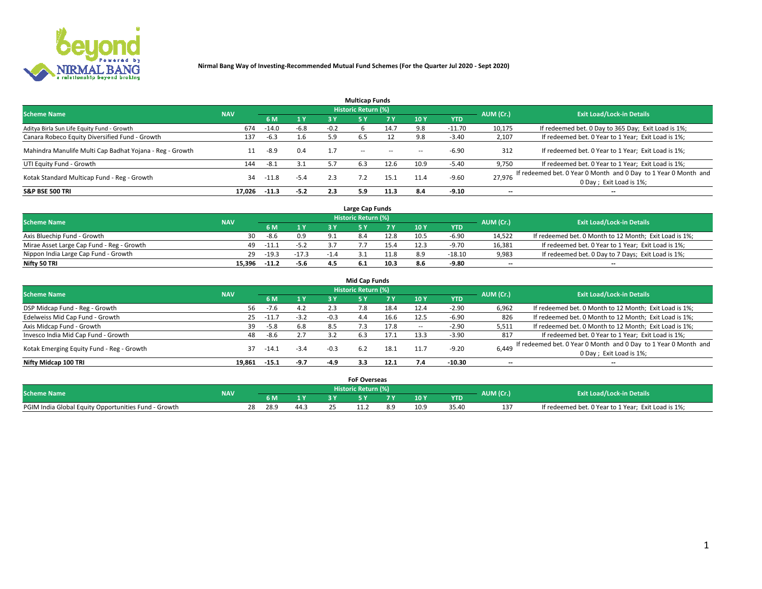

|                                                          |            |         |        |        | <b>Multicap Funds</b> |           |      |            |                          |                                                                                             |
|----------------------------------------------------------|------------|---------|--------|--------|-----------------------|-----------|------|------------|--------------------------|---------------------------------------------------------------------------------------------|
| <b>Scheme Name</b>                                       | <b>NAV</b> |         |        |        | Historic Return (%)   |           |      |            | AUM (Cr.)                | <b>Exit Load/Lock-in Details</b>                                                            |
|                                                          |            | 6 M     | 1 Y    | 3 Y    |                       | <b>7Y</b> | 10Y  | <b>YTD</b> |                          |                                                                                             |
| Aditya Birla Sun Life Equity Fund - Growth               | 674        | $-14.0$ | $-6.8$ | $-0.2$ |                       | 14.7      | 9.8  | $-11.70$   | 10,175                   | If redeemed bet. 0 Day to 365 Day; Exit Load is 1%;                                         |
| Canara Robeco Equity Diversified Fund - Growth           | 137        | $-6.3$  | 1.6    | 5.9    | 6.5                   |           | 9.8  | $-3.40$    | 2,107                    | If redeemed bet. 0 Year to 1 Year; Exit Load is 1%;                                         |
| Mahindra Manulife Multi Cap Badhat Yojana - Reg - Growth |            | -8.9    | 0.4    | 1.7    | $\sim$ $-$            | $\sim$    | --   | $-6.90$    | 312                      | If redeemed bet. 0 Year to 1 Year; Exit Load is 1%;                                         |
| UTI Equity Fund - Growth                                 | 144        | $-8.1$  | 3.1    |        | 6.3                   | 12.6      | 10.9 | $-5.40$    | 9,750                    | If redeemed bet. 0 Year to 1 Year; Exit Load is 1%;                                         |
| Kotak Standard Multicap Fund - Reg - Growth              | 34         | -11.8   | $-5.4$ | 2.3    |                       | 15.1      | 11.4 | $-9.60$    | 27.976                   | If redeemed bet. 0 Year 0 Month and 0 Day to 1 Year 0 Month and<br>0 Day ; Exit Load is 1%; |
| <b>S&amp;P BSE 500 TRI</b>                               | 17.026     | $-11.3$ | $-5.2$ | 2.3    | 5.9                   | 11.3      | 8.4  | $-9.10$    | $\overline{\phantom{a}}$ | $- -$                                                                                       |

|                                           |            |         |         |        | Large Cap Funds     |      |      |            |                          |                                                        |
|-------------------------------------------|------------|---------|---------|--------|---------------------|------|------|------------|--------------------------|--------------------------------------------------------|
| <b>Scheme Name</b>                        | <b>NAV</b> |         |         |        | Historic Return (%) |      |      |            | AUM (Cr.)                | <b>Exit Load/Lock-in Details</b>                       |
|                                           |            |         | 1 Y     |        |                     |      | 10 Y | <b>YTD</b> |                          |                                                        |
| Axis Bluechip Fund - Growth               | 30         | $-8.6$  | 0.9     |        |                     | 12.8 | 10.5 | $-6.90$    | 14,522                   | If redeemed bet. 0 Month to 12 Month; Exit Load is 1%; |
| Mirae Asset Large Cap Fund - Reg - Growth | 49         | -11     | -5.4    |        |                     |      |      | -9.70      | 16,381                   | If redeemed bet. 0 Year to 1 Year; Exit Load is 1%;    |
| Nippon India Large Cap Fund - Growth      | 29         | $-19.3$ | $-17.3$ | $-1.4$ |                     | 11.8 |      | $-18.10$   | 9,983                    | If redeemed bet. 0 Day to 7 Days; Exit Load is 1%;     |
| Nifty 50 TRI                              | 15.396     | $-11.7$ | $-5.6$  |        |                     | 10.3 |      | -9.80      | $\overline{\phantom{a}}$ | $- -$                                                  |

|                                           |            |             |        |        | <b>Mid Cap Funds</b> |      |      |            |                          |                                                                                            |
|-------------------------------------------|------------|-------------|--------|--------|----------------------|------|------|------------|--------------------------|--------------------------------------------------------------------------------------------|
| <b>Scheme Name</b>                        | <b>NAV</b> |             |        |        | Historic Return (%)  |      |      |            | AUM (Cr.)                | <b>Exit Load/Lock-in Details</b>                                                           |
|                                           |            | 6 M         | 1 Y    | 3 Y    |                      | 7 V  | 10Y  | <b>YTD</b> |                          |                                                                                            |
| DSP Midcap Fund - Reg - Growth            | 56         | $-7.6$      | 4.2    | 2.3    | 7.8                  | 18.4 | 12.4 | $-2.90$    | 6,962                    | If redeemed bet. 0 Month to 12 Month; Exit Load is 1%;                                     |
| Edelweiss Mid Cap Fund - Growth           |            | $25 - 11.7$ | $-3.2$ | $-0.3$ | 4.4                  | 16.6 | 12.5 | $-6.90$    | 826                      | If redeemed bet. 0 Month to 12 Month; Exit Load is 1%;                                     |
| Axis Midcap Fund - Growth                 | 39         | $-5.8$      | 6.8    | 8.5    |                      | 17.8 |      | $-2.90$    | 5,511                    | If redeemed bet. 0 Month to 12 Month; Exit Load is 1%;                                     |
| Invesco India Mid Cap Fund - Growth       | 48         | $-8.6$      | 2.7    | 3.2    | 6.3                  | 17.1 | 13.3 | $-3.90$    | 817                      | If redeemed bet. 0 Year to 1 Year; Exit Load is 1%;                                        |
| Kotak Emerging Equity Fund - Reg - Growth | 37.        | $-14.1$     | $-3.4$ | $-0.3$ | 6.2                  | 18.1 | 11.7 | $-9.20$    | 6,449                    | If redeemed bet. 0 Year 0 Month and 0 Day to 1 Year 0 Month and<br>0 Day; Exit Load is 1%; |
| Nifty Midcap 100 TRI                      | 19.861     | -15.1       | $-9.7$ | $-4.9$ | 3.3                  | 12.1 |      | -10.30     | $\overline{\phantom{a}}$ | $\overline{\phantom{a}}$                                                                   |

|                                                      |            |            |              |                       | <b>FoF Overseas</b> |     |      |            |           |                                                     |
|------------------------------------------------------|------------|------------|--------------|-----------------------|---------------------|-----|------|------------|-----------|-----------------------------------------------------|
| <b>Scheme Name</b>                                   | <b>NAV</b> |            |              | Historic Return (%) ' |                     |     |      |            | AUM (Cr.) | <b>Exit Load/Lock-in Details</b>                    |
|                                                      |            |            | $\mathbf{v}$ |                       |                     | . . | 10 Y | <b>YTD</b> |           |                                                     |
| PGIM India Global Equity Opportunities Fund - Growth |            | 28<br>28.9 | 44.≿         |                       |                     |     | 10.9 | 35.41      | 13.<br>ᅩ  | If redeemed bet. 0 Year to 1 Year; Exit Load is 1%; |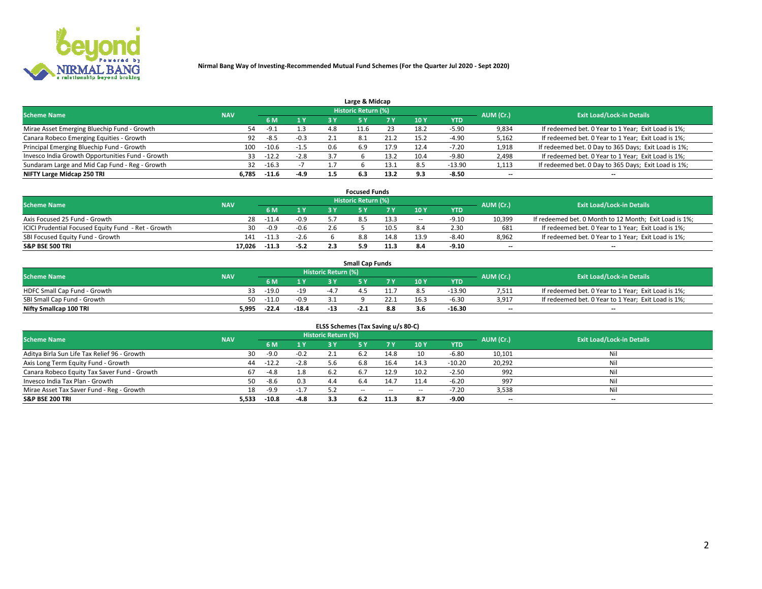

| Large & Midcap                                   |            |         |        |     |                            |      |      |          |                          |                                                      |  |  |  |  |
|--------------------------------------------------|------------|---------|--------|-----|----------------------------|------|------|----------|--------------------------|------------------------------------------------------|--|--|--|--|
| <b>Scheme Name</b>                               | <b>NAV</b> |         |        |     | <b>Historic Return (%)</b> |      |      |          | AUM (Cr.)                | <b>Exit Load/Lock-in Details</b>                     |  |  |  |  |
|                                                  |            | 6 M     | 1 Y    | 3 Y |                            | 7 V  | 10Y  | YTD      |                          |                                                      |  |  |  |  |
| Mirae Asset Emerging Bluechip Fund - Growth      | 54         | $-9.1$  | 1.3    | 4.8 | 11.6                       |      | 18.2 | -5.90    | 9,834                    | If redeemed bet. 0 Year to 1 Year; Exit Load is 1%;  |  |  |  |  |
| Canara Robeco Emerging Equities - Growth         | 92         | $-8.5$  | $-0.3$ |     | 8.1                        |      | 15.2 | -4.90    | 5,162                    | If redeemed bet. 0 Year to 1 Year; Exit Load is 1%;  |  |  |  |  |
| Principal Emerging Bluechip Fund - Growth        | 100        | $-10.6$ | $-1.5$ | 0.6 | 6.9                        | 17.9 | 12.4 | $-7.20$  | 1,918                    | If redeemed bet. 0 Day to 365 Days; Exit Load is 1%; |  |  |  |  |
| Invesco India Growth Opportunities Fund - Growth | 33         | $-12.2$ | $-2.8$ | 3.7 |                            | 13.2 | 10.4 | $-9.80$  | 2,498                    | If redeemed bet. 0 Year to 1 Year; Exit Load is 1%;  |  |  |  |  |
| Sundaram Large and Mid Cap Fund - Reg - Growth   | 32         | $-16.3$ |        |     |                            | 13.1 | 8.5  | $-13.90$ | 1,113                    | If redeemed bet. 0 Day to 365 Days; Exit Load is 1%; |  |  |  |  |
| NIFTY Large Midcap 250 TRI                       | 6.785      | $-11.6$ | $-4.9$ |     | 6.3                        | 13.2 |      | $-8.50$  | $\overline{\phantom{a}}$ | $- -$                                                |  |  |  |  |

|                                                     |            |         |        | <b>Focused Funds</b> |      |        |            |                          |                                                        |
|-----------------------------------------------------|------------|---------|--------|----------------------|------|--------|------------|--------------------------|--------------------------------------------------------|
| <b>Scheme Name</b>                                  | <b>NAV</b> |         |        | Historic Return (%)  |      |        |            | AUM (Cr.)                | <b>Exit Load/Lock-in Details</b>                       |
|                                                     |            | 6 M     | 1 Y    |                      |      | 10 Y   | <b>YTD</b> |                          |                                                        |
| Axis Focused 25 Fund - Growth                       | 28         | $-11.4$ | $-0.9$ |                      | 13.3 | $\sim$ | -9.10      | 10,399                   | If redeemed bet. 0 Month to 12 Month; Exit Load is 1%; |
| ICICI Prudential Focused Equity Fund - Ret - Growth | 30         | $-0.9$  | $-0.6$ |                      | 10.5 |        | 2.30       | 681                      | If redeemed bet. 0 Year to 1 Year; Exit Load is 1%;    |
| SBI Focused Equity Fund - Growth                    | 141        | $-11.3$ | $-2.6$ | 8.8                  | 14.8 |        | $-8.40$    | 8,962                    | If redeemed bet. 0 Year to 1 Year; Exit Load is 1%;    |
| <b>S&amp;P BSE 500 TRI</b>                          | 17.026     |         | $-5.2$ |                      | 11.3 |        | -9.10      | $\overline{\phantom{a}}$ | $\overline{\phantom{a}}$                               |

|                              |            |         |         |                     | <b>Small Cap Funds</b> |     |                 |            |           |                                                     |
|------------------------------|------------|---------|---------|---------------------|------------------------|-----|-----------------|------------|-----------|-----------------------------------------------------|
| <b>Scheme Name</b>           | <b>NAV</b> |         |         | Historic Return (%) |                        |     |                 |            | AUM (Cr.) | <b>Exit Load/Lock-in Details</b>                    |
|                              |            | 6 M     | 1 Y     |                     |                        |     | 10 <sub>Y</sub> | <b>YTD</b> |           |                                                     |
| HDFC Small Cap Fund - Growth |            | $-19.0$ | $-19$   |                     |                        |     |                 | $-13.90$   | 7,511     | If redeemed bet. 0 Year to 1 Year; Exit Load is 1%; |
| SBI Small Cap Fund - Growth  | 50         | $-11.0$ | $-0.9$  |                     |                        |     | 16.3            | $-6.30$    | 3,917     | If redeemed bet. 0 Year to 1 Year; Exit Load is 1%; |
| Nifty Smallcap 100 TRI       | 5,995      | $-22.4$ | $-18.4$ | $-13$               | $-L.L$                 | 8.8 |                 | $-16.30$   | $- -$     | $- -$                                               |

| ELSS Schemes (Tax Saving u/s 80-C)           |            |         |        |                            |           |        |                          |            |                          |                                  |  |  |  |
|----------------------------------------------|------------|---------|--------|----------------------------|-----------|--------|--------------------------|------------|--------------------------|----------------------------------|--|--|--|
| <b>Scheme Name</b>                           | <b>NAV</b> |         |        | <b>Historic Return (%)</b> |           |        |                          |            | AUM (Cr.)                | <b>Exit Load/Lock-in Details</b> |  |  |  |
|                                              |            | - 6 M   | 1Y     | 3 Y                        | <b>5Y</b> | 7 Y    | 10 Y                     | <b>YTD</b> |                          |                                  |  |  |  |
| Aditya Birla Sun Life Tax Relief 96 - Growth | 30         | $-9.0$  | $-0.2$ |                            |           | 14.8   | 10                       | $-6.80$    | 10,101                   | Nil                              |  |  |  |
| Axis Long Term Equity Fund - Growth          | 44         | $-12.2$ | $-2.8$ | 5.6                        | 6.8       | 16.4   | 14.3                     | $-10.20$   | 20,292                   | Nil                              |  |  |  |
| Canara Robeco Equity Tax Saver Fund - Growth | 67         | $-4.8$  | 1.8    | 6.2                        | 6.7       | 12.9   | 10.2                     | $-2.50$    | 992                      | Nil                              |  |  |  |
| Invesco India Tax Plan - Growth              | 50         | $-8.6$  | 0.3    | 4.4                        | 6.4       | 14.7   | 11.4                     | $-6.20$    | 997                      | Nil                              |  |  |  |
| Mirae Asset Tax Saver Fund - Reg - Growth    | 18         | -9.9    | $-1.7$ |                            | $- -$     | $\sim$ | $\overline{\phantom{a}}$ | $-7.20$    | 3,538                    | Nil                              |  |  |  |
| S&P BSE 200 TRI                              | 5,533      | $-10.8$ | $-4.8$ | 3.3                        |           | 11.3   | 8.7                      | $-9.00$    | $\overline{\phantom{a}}$ | $- -$                            |  |  |  |

# 2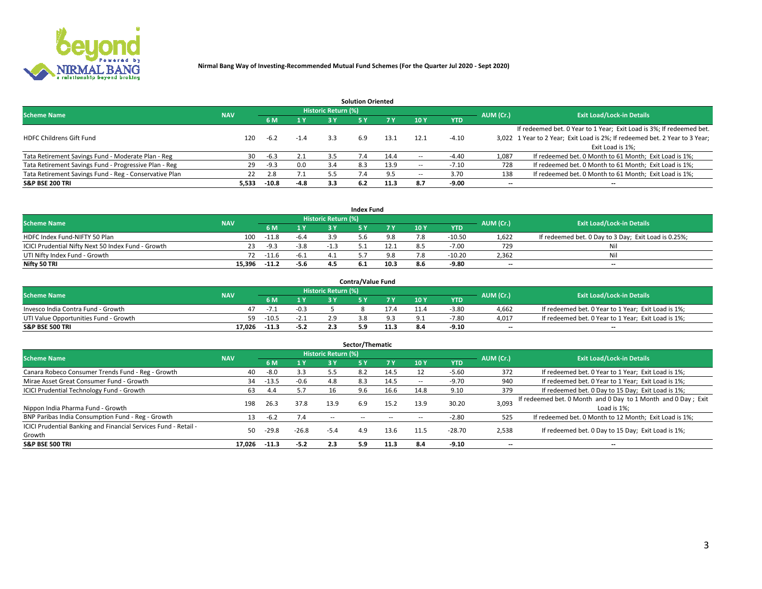

| <b>Solution Oriented</b>                               |            |            |        |                            |     |      |                          |            |                          |                                                                             |  |  |  |  |
|--------------------------------------------------------|------------|------------|--------|----------------------------|-----|------|--------------------------|------------|--------------------------|-----------------------------------------------------------------------------|--|--|--|--|
| <b>Scheme Name</b>                                     | <b>NAV</b> |            |        | <b>Historic Return (%)</b> |     |      |                          |            | AUM (Cr.)                | <b>Exit Load/Lock-in Details</b>                                            |  |  |  |  |
|                                                        |            | <b>6 M</b> | 1 Y    | 3 Y                        |     |      | 10Y                      | <b>YTD</b> |                          |                                                                             |  |  |  |  |
|                                                        |            |            |        |                            |     |      |                          |            |                          | If redeemed bet. 0 Year to 1 Year; Exit Load is 3%; If redeemed bet.        |  |  |  |  |
| <b>HDFC Childrens Gift Fund</b>                        | 120        | $-6.2$     | $-1.4$ | 3.3                        | 6.9 | 13.1 | 12.1                     | $-4.10$    |                          | 3,022 1 Year to 2 Year; Exit Load is 2%; If redeemed bet. 2 Year to 3 Year; |  |  |  |  |
|                                                        |            |            |        |                            |     |      |                          |            |                          | Exit Load is 1%:                                                            |  |  |  |  |
| Tata Retirement Savings Fund - Moderate Plan - Reg     | 30         | $-6.3$     | 2.1    | 3.5                        |     | 14.4 | --                       | $-4.40$    | 1,087                    | If redeemed bet. 0 Month to 61 Month; Exit Load is 1%;                      |  |  |  |  |
| Tata Retirement Savings Fund - Progressive Plan - Reg  | 29         | $-9.3$     | 0.0    | 3.4                        | 8.3 | 13.9 | $\overline{\phantom{a}}$ | $-7.10$    | 728                      | If redeemed bet. 0 Month to 61 Month; Exit Load is 1%;                      |  |  |  |  |
| Tata Retirement Savings Fund - Reg - Conservative Plan | 22         | 2.8        | 7.1    | 5.5                        |     |      | --                       | 3.70       | 138                      | If redeemed bet. 0 Month to 61 Month; Exit Load is 1%;                      |  |  |  |  |
| S&P BSE 200 TRI                                        | 5,533      | -10.8      | $-4.8$ | 3.3                        | 6.2 | 11.3 | 8.7                      | $-9.00$    | $\overline{\phantom{a}}$ | $- -$                                                                       |  |  |  |  |

|                                                    |            |             |              |                            | <b>Index Fund</b> |      |      |            |                          |                                                      |
|----------------------------------------------------|------------|-------------|--------------|----------------------------|-------------------|------|------|------------|--------------------------|------------------------------------------------------|
| <b>Scheme Name</b>                                 | <b>NAV</b> |             |              | <b>Historic Return (%)</b> |                   |      |      |            | AUM (Cr.)                | <b>Exit Load/Lock-in Details</b>                     |
|                                                    |            |             | $\sqrt{1}$ Y | 2 V                        |                   | 7 V  | 10 Y | <b>YTD</b> |                          |                                                      |
| HDFC Index Fund-NIFTY 50 Plan                      | 100        | $-11.8$     | $-6.4$       |                            |                   |      |      | $-10.50$   | 1,622                    | If redeemed bet. 0 Day to 3 Day; Exit Load is 0.25%; |
| ICICI Prudential Nifty Next 50 Index Fund - Growth |            | $-9.3$      | $-3.8$       | - 11                       |                   |      |      | $-7.00$    | 729                      | Nil                                                  |
| UTI Nifty Index Fund - Growth                      |            | $72 - 11.6$ | $-6.1$       |                            |                   |      |      | $-10.20$   | 2,362                    | Nil                                                  |
| Nifty 50 TRI                                       | 15.396     | $-11.2$     | $-5.6$       |                            | 6.1               | 10.3 | 8.6  | $-9.80$    | $\overline{\phantom{a}}$ | $- -$                                                |

|                                       |            |         |        |                            | <b>Contra/Value Fund</b> |      |     |            |                          |                                                     |
|---------------------------------------|------------|---------|--------|----------------------------|--------------------------|------|-----|------------|--------------------------|-----------------------------------------------------|
| <b>Scheme Name</b>                    | <b>NAV</b> |         |        | <b>Historic Return (%)</b> |                          |      |     |            | AUM (Cr.)                | <b>Exit Load/Lock-in Details</b>                    |
|                                       |            |         | 1 V    |                            |                          | 7 V  | 10Y | <b>YTD</b> |                          |                                                     |
| Invesco India Contra Fund - Growth    |            | $-1$ .  | $-0.3$ |                            |                          |      |     | $-3.80$    | 4.662                    | If redeemed bet. 0 Year to 1 Year; Exit Load is 1%; |
| UTI Value Opportunities Fund - Growth | 59         | $-10.5$ | -2.1   |                            |                          |      |     | $-7.80$    | 4,017                    | If redeemed bet. 0 Year to 1 Year; Exit Load is 1%; |
| <b>S&amp;P BSE 500 TRI</b>            | 17.026     | $-11.3$ | $-5.2$ |                            |                          | 11.3 |     | -9.10      | $\overline{\phantom{a}}$ | $- -$                                               |

| Sector/Thematic                                                           |            |         |         |                            |     |      |                          |            |           |                                                                              |  |  |  |  |
|---------------------------------------------------------------------------|------------|---------|---------|----------------------------|-----|------|--------------------------|------------|-----------|------------------------------------------------------------------------------|--|--|--|--|
| <b>Scheme Name</b>                                                        | <b>NAV</b> |         |         | <b>Historic Return (%)</b> |     |      |                          |            | AUM (Cr.) | <b>Exit Load/Lock-in Details</b>                                             |  |  |  |  |
|                                                                           |            | 6 M     | 1Y      | 3 Y                        | 5 Y |      | 10Y                      | <b>YTD</b> |           |                                                                              |  |  |  |  |
| Canara Robeco Consumer Trends Fund - Reg - Growth                         | 40         | $-8.0$  | 3.3     | 5.5                        | 8.2 | 14.5 |                          | $-5.60$    | 372       | If redeemed bet. 0 Year to 1 Year; Exit Load is 1%;                          |  |  |  |  |
| Mirae Asset Great Consumer Fund - Growth                                  | 34         | $-13.5$ | $-0.6$  | 4.8                        | 8.3 | 14.5 | $\overline{\phantom{a}}$ | $-9.70$    | 940       | If redeemed bet. 0 Year to 1 Year; Exit Load is 1%;                          |  |  |  |  |
| <b>ICICI Prudential Technology Fund - Growth</b>                          | 63         | 4.4     | 5.7     |                            | 9.6 | 16.6 | 14.8                     | 9.10       | 379       | If redeemed bet. 0 Day to 15 Day; Exit Load is 1%;                           |  |  |  |  |
| Nippon India Pharma Fund - Growth                                         | 198        | 26.3    | 37.8    | 13.9                       | 6.9 | 15.2 | 13.9                     | 30.20      | 3,093     | If redeemed bet. 0 Month and 0 Day to 1 Month and 0 Day; Exit<br>Load is 1%: |  |  |  |  |
| BNP Paribas India Consumption Fund - Reg - Growth                         |            | $-6.2$  | 7.4     | $\sim$ $-$                 |     |      |                          | $-2.80$    | 525       | If redeemed bet. 0 Month to 12 Month; Exit Load is 1%;                       |  |  |  |  |
| ICICI Prudential Banking and Financial Services Fund - Retail -<br>Growth | 50         | $-29.8$ | $-26.8$ | $-5.4$                     | 4.9 | 13.6 | 11.5                     | $-28.70$   | 2,538     | If redeemed bet. 0 Day to 15 Day; Exit Load is 1%;                           |  |  |  |  |
| <b>S&amp;P BSE 500 TRI</b>                                                | 17.026     | $-11.3$ | $-5.2$  | 2.3                        | 5.9 | 11.3 | 8.4                      | $-9.10$    | --        | $- -$                                                                        |  |  |  |  |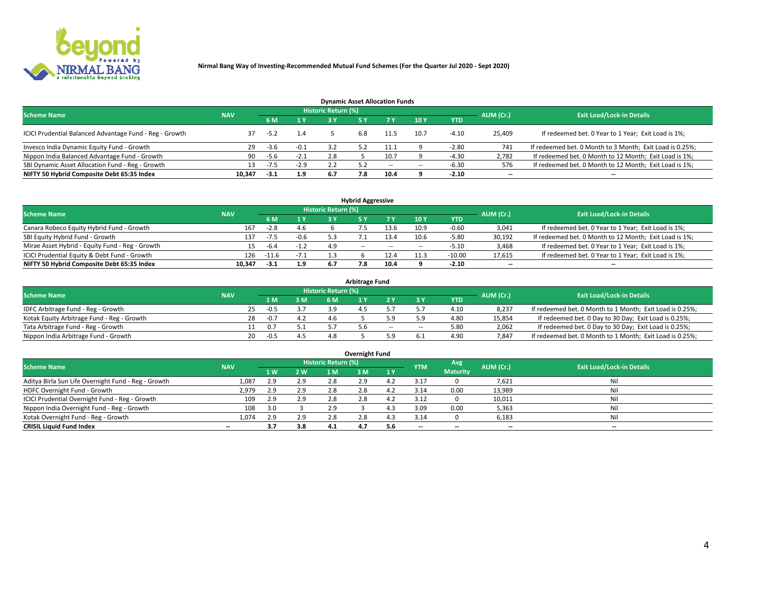

| <b>Dynamic Asset Allocation Funds</b>                   |            |        |                |                            |     |       |        |            |                          |                                                          |  |  |  |  |
|---------------------------------------------------------|------------|--------|----------------|----------------------------|-----|-------|--------|------------|--------------------------|----------------------------------------------------------|--|--|--|--|
| <b>Scheme Name</b>                                      | <b>NAV</b> |        |                | <b>Historic Return (%)</b> |     |       |        |            | AUM (Cr.)                | <b>Exit Load/Lock-in Details</b>                         |  |  |  |  |
|                                                         |            | 6 M    | 1 <sub>Y</sub> |                            |     |       | 10Y    | <b>YTD</b> |                          |                                                          |  |  |  |  |
| ICICI Prudential Balanced Advantage Fund - Reg - Growth |            | $-5.2$ | 1.4            |                            | 6.8 |       | 10.7   | $-4.10$    | 25,409                   | If redeemed bet. 0 Year to 1 Year; Exit Load is 1%;      |  |  |  |  |
| Invesco India Dynamic Equity Fund - Growth              | -29        | $-3.6$ | $-0.1$         |                            |     | 11.1  |        | $-2.80$    | 741                      | If redeemed bet. 0 Month to 3 Month; Exit Load is 0.25%; |  |  |  |  |
| Nippon India Balanced Advantage Fund - Growth           | 90         | -5.6   | $-2.1$         | 2.8                        |     |       |        | $-4.30$    | 2,782                    | If redeemed bet. 0 Month to 12 Month; Exit Load is 1%;   |  |  |  |  |
| SBI Dynamic Asset Allocation Fund - Reg - Growth        |            | $-7.5$ | $-2.9$         |                            | 52  | $- -$ | $\sim$ | $-6.30$    | 576                      | If redeemed bet. 0 Month to 12 Month; Exit Load is 1%;   |  |  |  |  |
| NIFTY 50 Hybrid Composite Debt 65:35 Index              | 10.347     | $-3.1$ | 1.9            | 6.7                        | 7.8 | 10.4  |        | $-2.10$    | $\overline{\phantom{a}}$ |                                                          |  |  |  |  |

| <b>Hybrid Aggressive</b>                        |            |                                  |        |     |            |        |      |            |                          |                                                        |  |  |  |
|-------------------------------------------------|------------|----------------------------------|--------|-----|------------|--------|------|------------|--------------------------|--------------------------------------------------------|--|--|--|
| <b>Scheme Name</b>                              | AUM (Cr.)  | <b>Exit Load/Lock-in Details</b> |        |     |            |        |      |            |                          |                                                        |  |  |  |
|                                                 | <b>NAV</b> | 6 M                              | 1 V    | ر ج |            | 7 V    | 10Y  | <b>YTD</b> |                          |                                                        |  |  |  |
| Canara Robeco Equity Hybrid Fund - Growth       | 167        | $-2.8$                           | 4.6    |     |            | 13.6   | 10.9 | $-0.60$    | 3,041                    | If redeemed bet. 0 Year to 1 Year; Exit Load is 1%;    |  |  |  |
| SBI Equity Hybrid Fund - Growth                 | 137        | -7.5                             | $-0.6$ |     |            | 13.4   | 10.6 | $-5.80$    | 30,192                   | If redeemed bet. 0 Month to 12 Month; Exit Load is 1%; |  |  |  |
| Mirae Asset Hybrid - Equity Fund - Reg - Growth |            | -6.4                             | $-1.2$ | 4.9 | $\sim$ $-$ | $\sim$ | --   | $-5.10$    | 3,468                    | If redeemed bet. 0 Year to 1 Year; Exit Load is 1%;    |  |  |  |
| ICICI Prudential Equity & Debt Fund - Growth    | 126        | $-11.6$                          | $-7.1$ |     |            |        |      | $-10.00$   | 17,615                   | If redeemed bet. 0 Year to 1 Year; Exit Load is 1%;    |  |  |  |
| NIFTY 50 Hybrid Composite Debt 65:35 Index      | 10.347     | $-3.1$                           | 1.9    | 6.7 | 7.8        | 10.4   |      | $-2.10$    | $\overline{\phantom{a}}$ | $- -$                                                  |  |  |  |

| Arbitrage Fund                             |            |              |                                  |     |     |     |        |        |            |        |                                                          |  |  |  |
|--------------------------------------------|------------|--------------|----------------------------------|-----|-----|-----|--------|--------|------------|--------|----------------------------------------------------------|--|--|--|
| <b>Scheme Name</b>                         |            | AUM (Cr.)    | <b>Exit Load/Lock-in Details</b> |     |     |     |        |        |            |        |                                                          |  |  |  |
|                                            | <b>NAV</b> | L M.         |                                  | 3 M | 6 M |     |        |        | <b>YTD</b> |        |                                                          |  |  |  |
| IDFC Arbitrage Fund - Reg - Growth         |            | 25<br>$-0.5$ |                                  |     | 3.9 |     |        |        | 4.10       | 8,237  | If redeemed bet. 0 Month to 1 Month; Exit Load is 0.25%; |  |  |  |
| Kotak Equity Arbitrage Fund - Reg - Growth |            | 28<br>$-0.7$ |                                  |     | 4 h |     |        |        | 4.80       | 15,854 | If redeemed bet. 0 Day to 30 Day; Exit Load is 0.25%;    |  |  |  |
| Tata Arbitrage Fund - Reg - Growth         |            |              |                                  |     |     | 5.6 | $\sim$ | $\sim$ | 5.80       | 2,062  | If redeemed bet. 0 Day to 30 Day; Exit Load is 0.25%;    |  |  |  |
| Nippon India Arbitrage Fund - Growth       |            | 20<br>$-0.5$ |                                  |     |     |     |        |        | 4.90       | 7.847  | If redeemed bet. 0 Month to 1 Month; Exit Load is 0.25%; |  |  |  |

| Overnight Fund                                      |            |     |     |                            |     |     |            |                 |           |                                  |  |  |  |
|-----------------------------------------------------|------------|-----|-----|----------------------------|-----|-----|------------|-----------------|-----------|----------------------------------|--|--|--|
| <b>Scheme Name</b>                                  | <b>NAV</b> |     |     | <b>Historic Return (%)</b> |     |     | <b>YTM</b> | Avg             | AUM (Cr.) | <b>Exit Load/Lock-in Details</b> |  |  |  |
|                                                     |            | 1 W | 2 W | 1 M                        | ۱M  | 1Y  |            | <b>Maturity</b> |           |                                  |  |  |  |
| Aditya Birla Sun Life Overnight Fund - Reg - Growth | 1,087      | 2.9 | 2.9 | 2.8                        |     |     | 3.17       |                 | 7,621     | Nil                              |  |  |  |
| HDFC Overnight Fund - Growth                        | 2,979      | 2.9 | 2.9 | 2.8                        |     |     | 3.14       | 0.00            | 13,989    | Nil                              |  |  |  |
| ICICI Prudential Overnight Fund - Reg - Growth      | 109        | 2.9 | 2.9 | 2.8                        |     |     | 3.12       |                 | 10,011    | Nil                              |  |  |  |
| Nippon India Overnight Fund - Reg - Growth          | 108        | 3.0 |     | 2.9                        |     |     | 3.09       | 0.00            | 5,363     | Nil                              |  |  |  |
| Kotak Overnight Fund - Reg - Growth                 | 1,074      | 2.9 | 2.9 | 2.8                        |     |     | 3.14       |                 | 6,183     | Nil                              |  |  |  |
| <b>CRISIL Liquid Fund Index</b>                     | $- -$      | 3.7 | 3.8 | 4.1                        | 4.7 | 5.6 | --         | $- -$           | --        | --                               |  |  |  |

### **Overnight Fund**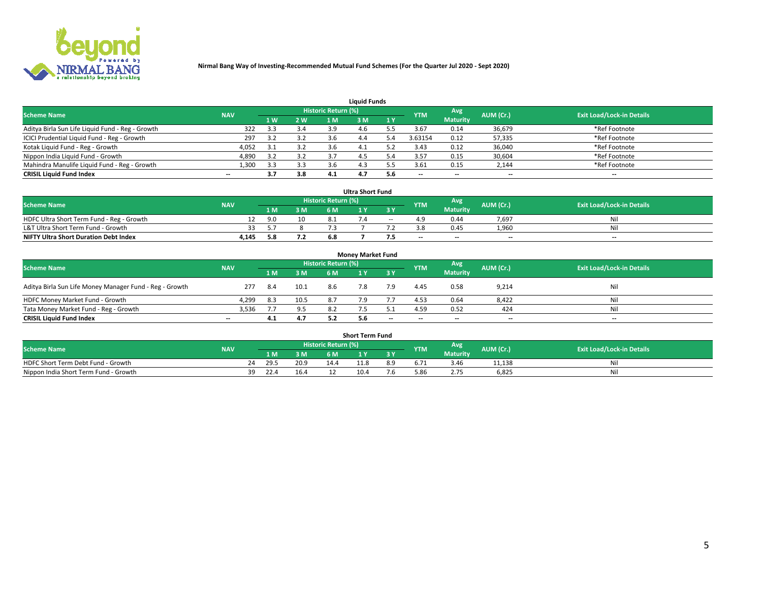

| <b>Liquid Funds</b>                              |            |     |     |                     |      |     |            |                 |           |                                  |  |  |  |  |
|--------------------------------------------------|------------|-----|-----|---------------------|------|-----|------------|-----------------|-----------|----------------------------------|--|--|--|--|
| <b>Scheme Name</b>                               | <b>NAV</b> |     |     | Historic Return (%) |      |     | <b>YTM</b> | <b>Avg</b>      | AUM (Cr.) | <b>Exit Load/Lock-in Details</b> |  |  |  |  |
|                                                  |            | 4W  | 2 W | 1 M                 | M    | 1 Y |            | <b>Maturity</b> |           |                                  |  |  |  |  |
| Aditya Birla Sun Life Liquid Fund - Reg - Growth | 322        | 3.3 | 3.4 | 3.9                 | 4 h  |     | 3.67       | 0.14            | 36,679    | *Ref Footnote                    |  |  |  |  |
| ICICI Prudential Liquid Fund - Reg - Growth      | 297        |     | 3.2 | 3.6                 | 4.4  |     | 3.63154    | 0.12            | 57,335    | *Ref Footnote                    |  |  |  |  |
| Kotak Liquid Fund - Reg - Growth                 | 4,052      |     | 3.2 | 3.b                 | -4.⊥ |     | 3.43       | 0.12            | 36,040    | *Ref Footnote                    |  |  |  |  |
| Nippon India Liquid Fund - Growth                | 4,890      |     | 3.2 | 3.7                 | 4.5  |     | 3.57       | 0.15            | 30,604    | *Ref Footnote                    |  |  |  |  |
| Mahindra Manulife Liquid Fund - Reg - Growth     | 1,300      | 3.3 | 3.3 | 3.6                 | 4.3  |     | 3.61       | 0.15            | 2,144     | *Ref Footnote                    |  |  |  |  |
| <b>CRISIL Liquid Fund Index</b>                  | $- -$      | 3.7 | 3.8 | 4.1                 |      | 5.6 | --         | $- -$           | --        | $\overline{\phantom{a}}$         |  |  |  |  |

| <b>Ultra Short Fund</b>                      |            |     |     |                            |  |            |                          |                 |                          |                                  |  |  |  |  |
|----------------------------------------------|------------|-----|-----|----------------------------|--|------------|--------------------------|-----------------|--------------------------|----------------------------------|--|--|--|--|
| <b>Scheme Name</b>                           | <b>NAV</b> |     |     | <b>Historic Return (%)</b> |  |            | <b>YTM</b>               | Avg             | AUM (Cr.)                | <b>Exit Load/Lock-in Details</b> |  |  |  |  |
|                                              |            | 1 M | 3 M | 6 M                        |  | <b>3 Y</b> |                          | <b>Maturity</b> |                          |                                  |  |  |  |  |
| HDFC Ultra Short Term Fund - Reg - Growth    |            | 9.0 | 10  |                            |  | $\sim$     |                          | 0.44            | 7.697                    | Nil                              |  |  |  |  |
| L&T Ultra Short Term Fund - Growth           |            |     |     |                            |  |            |                          | 0.45            | 1,960                    | Nil                              |  |  |  |  |
| <b>NIFTY Ultra Short Duration Debt Index</b> | 4,145      | 5.8 | 7.2 | 6.8                        |  |            | $\overline{\phantom{a}}$ | $- -$           | $\overline{\phantom{a}}$ | $- -$                            |  |  |  |  |

| <b>Monev Market Fund</b>                                |            |      |      |                     |     |       |                          |                 |                          |                                  |  |  |  |  |
|---------------------------------------------------------|------------|------|------|---------------------|-----|-------|--------------------------|-----------------|--------------------------|----------------------------------|--|--|--|--|
| <b>Scheme Name</b>                                      | <b>NAV</b> |      |      | Historic Return (%) |     |       | <b>YTM</b>               | Avg.            | AUM (Cr.)                | <b>Exit Load/Lock-in Details</b> |  |  |  |  |
|                                                         |            | 1 M  | 3 M  | 6 M                 |     | -3 Y  |                          | <b>Maturity</b> |                          |                                  |  |  |  |  |
| Aditya Birla Sun Life Money Manager Fund - Reg - Growth | 277        | 8.4  | 10.1 | 8.6                 | 7.8 | 7.9   | 4.45                     | 0.58            | 9,214                    | Nil                              |  |  |  |  |
| HDFC Money Market Fund - Growth                         | 4,299      | -8.3 | 10.5 | 8.7                 |     |       | 4.53                     | 0.64            | 8,422                    | Nil                              |  |  |  |  |
| Tata Money Market Fund - Reg - Growth                   | 3,536      |      | 9.5  | 8.2                 |     |       | 4.59                     | 0.52            | 424                      | Nil                              |  |  |  |  |
| <b>CRISIL Liquid Fund Index</b>                         | $- -$      | 4.1  | 4.7  |                     | 5.6 | $- -$ | $\overline{\phantom{a}}$ | $-$             | $\overline{\phantom{a}}$ | $\overline{\phantom{a}}$         |  |  |  |  |

|                                       |            |       |      |                     | <b>Short Term Fund</b> |     |      |                 |           |                                  |
|---------------------------------------|------------|-------|------|---------------------|------------------------|-----|------|-----------------|-----------|----------------------------------|
| <b>Scheme Name</b>                    | <b>NAV</b> |       |      | Historic Return (%) |                        |     | YTM  | Avg             | AUM (Cr.) | <b>Exit Load/Lock-in Details</b> |
|                                       |            | 1 M . | 3 M  | 6 M                 |                        | 2V  |      | <b>Maturity</b> |           |                                  |
| HDFC Short Term Debt Fund - Growth    |            | 29.5  | 20.9 | 14.4                | 11.8                   | 8.9 |      | 3.46            | 11,138    | M                                |
| Nippon India Short Term Fund - Growth | 39         | 22.4  | 16.4 |                     | 10.4                   | '.C | 5.86 |                 | 6,825     | N                                |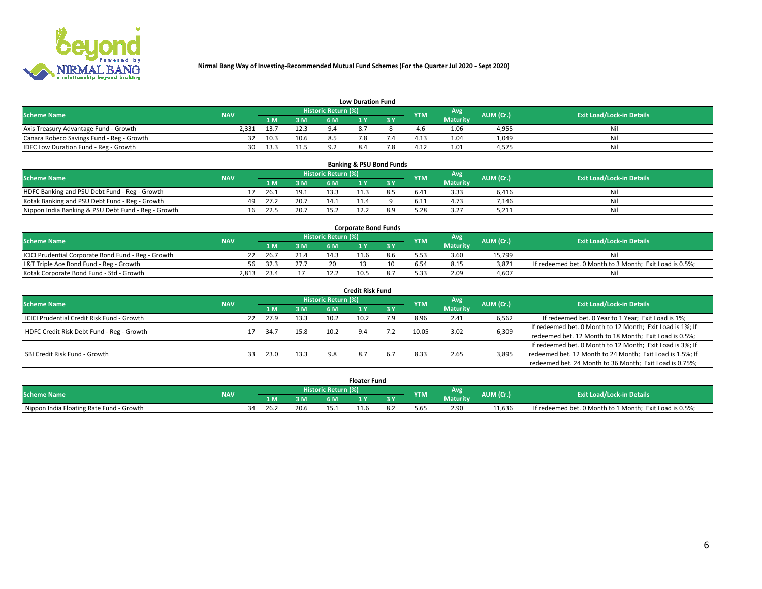

| <b>Low Duration Fund</b>                  |            |      |      |                     |           |     |                  |                 |           |                                  |  |  |  |  |
|-------------------------------------------|------------|------|------|---------------------|-----------|-----|------------------|-----------------|-----------|----------------------------------|--|--|--|--|
| <b>Scheme Name</b>                        | <b>NAV</b> |      |      | Historic Return (%) |           |     | <b>YTM</b>       | Avg             | AUM (Cr.) | <b>Exit Load/Lock-in Details</b> |  |  |  |  |
|                                           |            | L M. | 3 M  | 6 M                 |           | 3 Y |                  | <b>Maturity</b> |           |                                  |  |  |  |  |
| Axis Treasury Advantage Fund - Growth     | 2.331      | 13.7 | 12.3 |                     | $\circ$ - |     |                  | 1.06            | 4,955     | Nil                              |  |  |  |  |
| Canara Robeco Savings Fund - Reg - Growth |            | 10.3 | 10.6 |                     |           |     | 4.1 <sup>2</sup> | 1.04            | 1,049     | Nil                              |  |  |  |  |
| IDFC Low Duration Fund - Reg - Growth     | 30         | 13.3 |      |                     | 8.4       |     | $4.1^{\circ}$    | 1.01            | 4,575     | Nil                              |  |  |  |  |

| <b>Banking &amp; PSU Bond Funds</b>                 |            |    |      |      |                     |  |           |            |                 |           |                                  |  |  |  |
|-----------------------------------------------------|------------|----|------|------|---------------------|--|-----------|------------|-----------------|-----------|----------------------------------|--|--|--|
| <b>Scheme Name</b>                                  | <b>NAV</b> |    |      |      | Historic Return (%) |  |           | <b>YTM</b> | Avg             | AUM (Cr.) | <b>Exit Load/Lock-in Details</b> |  |  |  |
|                                                     |            |    | 1 M. | 3 M  | 6 M                 |  | <b>AV</b> |            | <b>Maturity</b> |           |                                  |  |  |  |
| HDFC Banking and PSU Debt Fund - Reg - Growth       |            |    | 26.1 | 19.1 | 13.3                |  | 8.5       | 6.41       | 3.33            | 6.416     | Ni                               |  |  |  |
| Kotak Banking and PSU Debt Fund - Reg - Growth      |            | 49 | 27.2 | 20.7 | 14.7                |  |           | 6.11       | 4.73            | 7.146     | Ni                               |  |  |  |
| Nippon India Banking & PSU Debt Fund - Reg - Growth |            | 16 | 22.5 | 20.7 |                     |  |           |            | 3.27            | 5,211     | Ni                               |  |  |  |

| <b>Corporate Bond Funds</b>                         |            |      |      |                     |      |  |            |                 |           |                                                         |  |  |  |  |
|-----------------------------------------------------|------------|------|------|---------------------|------|--|------------|-----------------|-----------|---------------------------------------------------------|--|--|--|--|
| <b>Scheme Name</b>                                  | <b>NAV</b> |      |      | Historic Return (%) |      |  | <b>YTM</b> | Avg             | AUM (Cr.) | <b>Exit Load/Lock-in Details</b>                        |  |  |  |  |
|                                                     |            | 4 M. | 3 M  | 6 M                 |      |  |            | <b>Maturity</b> |           |                                                         |  |  |  |  |
| ICICI Prudential Corporate Bond Fund - Reg - Growth |            | 26.7 |      |                     |      |  |            | 3.60            | 15.799    |                                                         |  |  |  |  |
| L&T Triple Ace Bond Fund - Reg - Growth             | 56         | 32.3 | 27.7 | 20                  |      |  |            | 8.15            | 3,871     | If redeemed bet. 0 Month to 3 Month; Exit Load is 0.5%; |  |  |  |  |
| Kotak Corporate Bond Fund - Std - Growth            | 2.813      | 23.4 |      |                     | 10.5 |  | 5.33       | 2.09            | 4.607     | Nil                                                     |  |  |  |  |

| <b>Credit Risk Fund</b>                    |            |    |      |      |                            |      |     |            |                 |                                                           |                                                           |  |  |
|--------------------------------------------|------------|----|------|------|----------------------------|------|-----|------------|-----------------|-----------------------------------------------------------|-----------------------------------------------------------|--|--|
| <b>Scheme Name</b>                         | <b>NAV</b> |    |      |      | <b>Historic Return (%)</b> |      |     | <b>YTM</b> | Avg             | AUM (Cr.)                                                 | <b>Exit Load/Lock-in Details</b>                          |  |  |
|                                            |            |    | 1 M  | 3 M  | 6 M                        |      | 3 Y |            | <b>Maturity</b> |                                                           |                                                           |  |  |
| ICICI Prudential Credit Risk Fund - Growth |            | 22 | 27.9 | 13.3 | 10.2                       | 10.2 | 7.9 | 8.96       | 2.41            | 6,562                                                     | If redeemed bet. 0 Year to 1 Year; Exit Load is 1%;       |  |  |
| HDFC Credit Risk Debt Fund - Reg - Growth  |            |    | 34.7 | 15.8 | 10.2                       | 9.4  | 7.2 | 10.05      | 3.02            | 6,309                                                     | If redeemed bet. 0 Month to 12 Month; Exit Load is 1%; If |  |  |
|                                            |            |    |      |      |                            |      |     |            |                 |                                                           | redeemed bet. 12 Month to 18 Month; Exit Load is 0.5%;    |  |  |
|                                            |            |    |      |      |                            |      |     |            |                 |                                                           | If redeemed bet. 0 Month to 12 Month; Exit Load is 3%; If |  |  |
| SBI Credit Risk Fund - Growth              |            | 33 | 23.0 | 13.3 | 9.8                        | 8.7  | 6.7 | 8.33       | 3,895<br>2.65   | redeemed bet. 12 Month to 24 Month; Exit Load is 1.5%; If |                                                           |  |  |
|                                            |            |    |      |      |                            |      |     |            |                 |                                                           | redeemed bet. 24 Month to 36 Month; Exit Load is 0.75%;   |  |  |

| <b>Floater Fund</b>                      |            |                            |      |      |     |  |    |           |                 |           |                                                         |
|------------------------------------------|------------|----------------------------|------|------|-----|--|----|-----------|-----------------|-----------|---------------------------------------------------------|
| <b>Scheme Name</b>                       | <b>NAV</b> | <b>Historic Return (%)</b> |      |      |     |  |    | <b>TM</b> | Avg.            | AUM (Cr.) | <b>Exit Load/Lock-in Details</b>                        |
|                                          |            |                            | 1 M  | ЗM   | 6 M |  | 2V |           | <b>Maturity</b> |           |                                                         |
| Nippon India Floating Rate Fund - Growth |            |                            | 26.2 | 20.6 |     |  |    | 5.65      | 2.90            | 11.636    | If redeemed bet. 0 Month to 1 Month; Exit Load is 0.5%; |